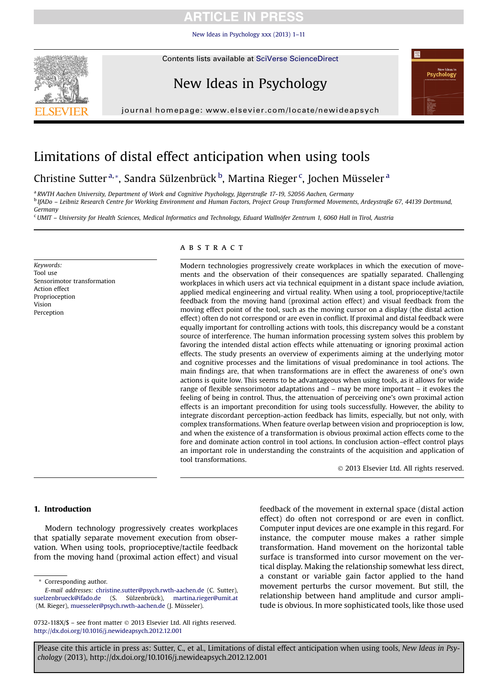# TICLE IN PRESS

[New Ideas in Psychology xxx \(2013\) 1](http://dx.doi.org/10.1016/j.newideapsych.2012.12.001)–11

<span id="page-0-0"></span>

#### Contents lists available at [SciVerse ScienceDirect](www.sciencedirect.com/science/journal/0732118X)

# New Ideas in Psychology

journal homepage: [www.elsevier.com/locate/newideapsych](http://www.elsevier.com/locate/newideapsych)

# Limitations of distal effect anticipation when using tools

# Christine Sutter<sup>a,</sup>\*, Sandra Sülzenbrück <sup>b</sup>, Martina Rieger <sup>c</sup>, Jochen Müsseler <sup>a</sup>

<sup>a</sup> RWTH Aachen University, Department of Work and Cognitive Psychology, Jägerstraße 17-19, 52056 Aachen, Germany <sup>b</sup> IfADo – Leibniz Research Centre for Working Environment and Human Factors, Project Group Transformed Movements, Ardeystraße 67, 44139 Dortmund, Germany

 $c$ UMIT – University for Health Sciences, Medical Informatics and Technology, Eduard Wallnöfer Zentrum 1, 6060 Hall in Tirol, Austria

Keywords: Tool use Sensorimotor transformation Action effect Proprioception Vision Perception

# **ABSTRACT**

Modern technologies progressively create workplaces in which the execution of movements and the observation of their consequences are spatially separated. Challenging workplaces in which users act via technical equipment in a distant space include aviation, applied medical engineering and virtual reality. When using a tool, proprioceptive/tactile feedback from the moving hand (proximal action effect) and visual feedback from the moving effect point of the tool, such as the moving cursor on a display (the distal action effect) often do not correspond or are even in conflict. If proximal and distal feedback were equally important for controlling actions with tools, this discrepancy would be a constant source of interference. The human information processing system solves this problem by favoring the intended distal action effects while attenuating or ignoring proximal action effects. The study presents an overview of experiments aiming at the underlying motor and cognitive processes and the limitations of visual predominance in tool actions. The main findings are, that when transformations are in effect the awareness of one's own actions is quite low. This seems to be advantageous when using tools, as it allows for wide range of flexible sensorimotor adaptations and – may be more important – it evokes the feeling of being in control. Thus, the attenuation of perceiving one's own proximal action effects is an important precondition for using tools successfully. However, the ability to integrate discordant perception-action feedback has limits, especially, but not only, with complex transformations. When feature overlap between vision and proprioception is low, and when the existence of a transformation is obvious proximal action effects come to the fore and dominate action control in tool actions. In conclusion action–effect control plays an important role in understanding the constraints of the acquisition and application of tool transformations.

2013 Elsevier Ltd. All rights reserved.

# 1. Introduction

Modern technology progressively creates workplaces that spatially separate movement execution from observation. When using tools, proprioceptive/tactile feedback from the moving hand (proximal action effect) and visual

\* Corresponding author. E-mail addresses: [christine.sutter@psych.rwth-aachen.de](mailto:christine.sutter@psych.rwth-aachen.de) (C. Sutter), [suelzenbrueck@ifado.de](mailto:suelzenbrueck@ifado.de) (S. Sülzenbrück), [martina.rieger@umit.at](mailto:martina.rieger@umit.at) (M. Rieger), [muesseler@psych.rwth-aachen.de](mailto:muesseler@psych.rwth-aachen.de) (J. Müsseler).

0732-118X/\$ - see front matter © 2013 Elsevier Ltd. All rights reserved. <http://dx.doi.org/10.1016/j.newideapsych.2012.12.001>

feedback of the movement in external space (distal action effect) do often not correspond or are even in conflict. Computer input devices are one example in this regard. For instance, the computer mouse makes a rather simple transformation. Hand movement on the horizontal table surface is transformed into cursor movement on the vertical display. Making the relationship somewhat less direct, a constant or variable gain factor applied to the hand movement perturbs the cursor movement. But still, the relationship between hand amplitude and cursor amplitude is obvious. In more sophisticated tools, like those used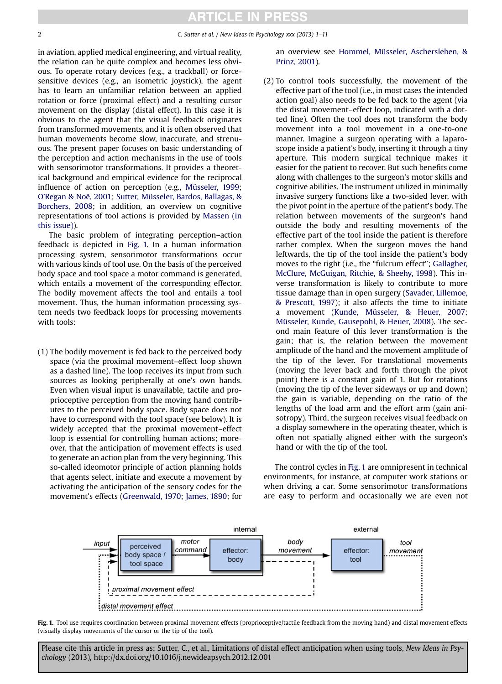2 C. Sutter et al. / New Ideas in Psychology xxx (2013) 1–11

in aviation, applied medical engineering, and virtual reality, the relation can be quite complex and becomes less obvious. To operate rotary devices (e.g., a trackball) or forcesensitive devices (e.g., an isometric joystick), the agent has to learn an unfamiliar relation between an applied rotation or force (proximal effect) and a resulting cursor movement on the display (distal effect). In this case it is obvious to the agent that the visual feedback originates from transformed movements, and it is often observed that human movements become slow, inaccurate, and strenuous. The present paper focuses on basic understanding of the perception and action mechanisms in the use of tools with sensorimotor transformations. It provides a theoretical background and empirical evidence for the reciprocal influence of action on perception (e.g., [Müsseler, 1999](#page-9-0); O'[Regan & Noë, 2001;](#page-9-0) [Sutter, Müsseler, Bardos, Ballagas, &](#page-10-0) [Borchers, 2008](#page-10-0); in addition, an overview on cognitive representations of tool actions is provided by [Massen \(in](#page-9-0) [this issue\)\)](#page-9-0).

The basic problem of integrating perception–action feedback is depicted in Fig. 1. In a human information processing system, sensorimotor transformations occur with various kinds of tool use. On the basis of the perceived body space and tool space a motor command is generated, which entails a movement of the corresponding effector. The bodily movement affects the tool and entails a tool movement. Thus, the human information processing system needs two feedback loops for processing movements with tools:

(1) The bodily movement is fed back to the perceived body space (via the proximal movement–effect loop shown as a dashed line). The loop receives its input from such sources as looking peripherally at one's own hands. Even when visual input is unavailable, tactile and proprioceptive perception from the moving hand contributes to the perceived body space. Body space does not have to correspond with the tool space (see below). It is widely accepted that the proximal movement–effect loop is essential for controlling human actions; moreover, that the anticipation of movement effects is used to generate an action plan from the very beginning. This so-called ideomotor principle of action planning holds that agents select, initiate and execute a movement by activating the anticipation of the sensory codes for the movement's effects [\(Greenwald, 1970](#page-9-0); [James, 1890](#page-9-0); for

an overview see [Hommel, Müsseler, Aschersleben, &](#page-9-0) [Prinz, 2001](#page-9-0)).

(2) To control tools successfully, the movement of the effective part of the tool (i.e., in most cases the intended action goal) also needs to be fed back to the agent (via the distal movement–effect loop, indicated with a dotted line). Often the tool does not transform the body movement into a tool movement in a one-to-one manner. Imagine a surgeon operating with a laparoscope inside a patient's body, inserting it through a tiny aperture. This modern surgical technique makes it easier for the patient to recover. But such benefits come along with challenges to the surgeon's motor skills and cognitive abilities. The instrument utilized in minimally invasive surgery functions like a two-sided lever, with the pivot point in the aperture of the patient's body. The relation between movements of the surgeon's hand outside the body and resulting movements of the effective part of the tool inside the patient is therefore rather complex. When the surgeon moves the hand leftwards, the tip of the tool inside the patient's body moves to the right (i.e., the "fulcrum effect"; [Gallagher,](#page-9-0) [McClure, McGuigan, Ritchie, & Sheehy, 1998\)](#page-9-0). This inverse transformation is likely to contribute to more tissue damage than in open surgery [\(Savader, Lillemoe,](#page-9-0) [& Prescott, 1997](#page-9-0)); it also affects the time to initiate a movement ([Kunde, Müsseler, & Heuer, 2007;](#page-9-0) [Müsseler, Kunde, Gausepohl, & Heuer, 2008](#page-9-0)). The second main feature of this lever transformation is the gain; that is, the relation between the movement amplitude of the hand and the movement amplitude of the tip of the lever. For translational movements (moving the lever back and forth through the pivot point) there is a constant gain of 1. But for rotations (moving the tip of the lever sideways or up and down) the gain is variable, depending on the ratio of the lengths of the load arm and the effort arm (gain anisotropy). Third, the surgeon receives visual feedback on a display somewhere in the operating theater, which is often not spatially aligned either with the surgeon's hand or with the tip of the tool.

The control cycles in Fig. 1 are omnipresent in technical environments, for instance, at computer work stations or when driving a car. Some sensorimotor transformations are easy to perform and occasionally we are even not



Fig. 1. Tool use requires coordination between proximal movement effects (proprioceptive/tactile feedback from the moving hand) and distal movement effects (visually display movements of the cursor or the tip of the tool).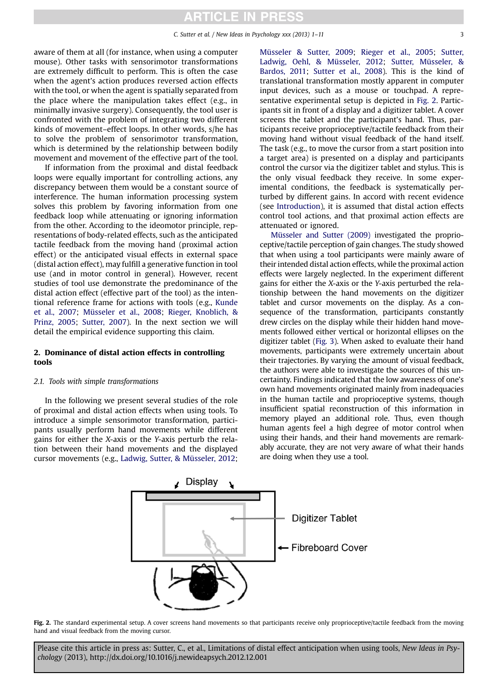aware of them at all (for instance, when using a computer mouse). Other tasks with sensorimotor transformations are extremely difficult to perform. This is often the case when the agent's action produces reversed action effects with the tool, or when the agent is spatially separated from the place where the manipulation takes effect (e.g., in minimally invasive surgery). Consequently, the tool user is confronted with the problem of integrating two different kinds of movement–effect loops. In other words, s/he has to solve the problem of sensorimotor transformation, which is determined by the relationship between bodily movement and movement of the effective part of the tool.

If information from the proximal and distal feedback loops were equally important for controlling actions, any discrepancy between them would be a constant source of interference. The human information processing system solves this problem by favoring information from one feedback loop while attenuating or ignoring information from the other. According to the ideomotor principle, representations of body-related effects, such as the anticipated tactile feedback from the moving hand (proximal action effect) or the anticipated visual effects in external space (distal action effect), may fulfill a generative function in tool use (and in motor control in general). However, recent studies of tool use demonstrate the predominance of the distal action effect (effective part of the tool) as the intentional reference frame for actions with tools (e.g., [Kunde](#page-9-0) [et al., 2007;](#page-9-0) [Müsseler et al., 2008](#page-9-0); [Rieger, Knoblich, &](#page-9-0) [Prinz, 2005;](#page-9-0) [Sutter, 2007](#page-10-0)). In the next section we will detail the empirical evidence supporting this claim.

### 2. Dominance of distal action effects in controlling tools

#### 2.1. Tools with simple transformations

In the following we present several studies of the role of proximal and distal action effects when using tools. To introduce a simple sensorimotor transformation, participants usually perform hand movements while different gains for either the X-axis or the Y-axis perturb the relation between their hand movements and the displayed cursor movements (e.g., [Ladwig, Sutter, & Müsseler, 2012](#page-9-0); [Müsseler & Sutter, 2009](#page-9-0); [Rieger et al., 2005](#page-9-0); [Sutter,](#page-10-0) [Ladwig, Oehl, & Müsseler, 2012;](#page-10-0) [Sutter, Müsseler, &](#page-10-0) [Bardos, 2011](#page-10-0); [Sutter et al., 2008\)](#page-10-0). This is the kind of translational transformation mostly apparent in computer input devices, such as a mouse or touchpad. A representative experimental setup is depicted in Fig. 2. Participants sit in front of a display and a digitizer tablet. A cover screens the tablet and the participant's hand. Thus, participants receive proprioceptive/tactile feedback from their moving hand without visual feedback of the hand itself. The task (e.g., to move the cursor from a start position into a target area) is presented on a display and participants control the cursor via the digitizer tablet and stylus. This is the only visual feedback they receive. In some experimental conditions, the feedback is systematically perturbed by different gains. In accord with recent evidence (see [Introduction\)](#page-0-0), it is assumed that distal action effects control tool actions, and that proximal action effects are attenuated or ignored.

[Müsseler and Sutter \(2009\)](#page-9-0) investigated the proprioceptive/tactile perception of gain changes. The study showed that when using a tool participants were mainly aware of their intended distal action effects, while the proximal action effects were largely neglected. In the experiment different gains for either the X-axis or the Y-axis perturbed the relationship between the hand movements on the digitizer tablet and cursor movements on the display. As a consequence of the transformation, participants constantly drew circles on the display while their hidden hand movements followed either vertical or horizontal ellipses on the digitizer tablet [\(Fig. 3](#page-3-0)). When asked to evaluate their hand movements, participants were extremely uncertain about their trajectories. By varying the amount of visual feedback, the authors were able to investigate the sources of this uncertainty. Findings indicated that the low awareness of one's own hand movements originated mainly from inadequacies in the human tactile and proprioceptive systems, though insufficient spatial reconstruction of this information in memory played an additional role. Thus, even though human agents feel a high degree of motor control when using their hands, and their hand movements are remarkably accurate, they are not very aware of what their hands are doing when they use a tool.



Fig. 2. The standard experimental setup. A cover screens hand movements so that participants receive only proprioceptive/tactile feedback from the moving hand and visual feedback from the moving cursor.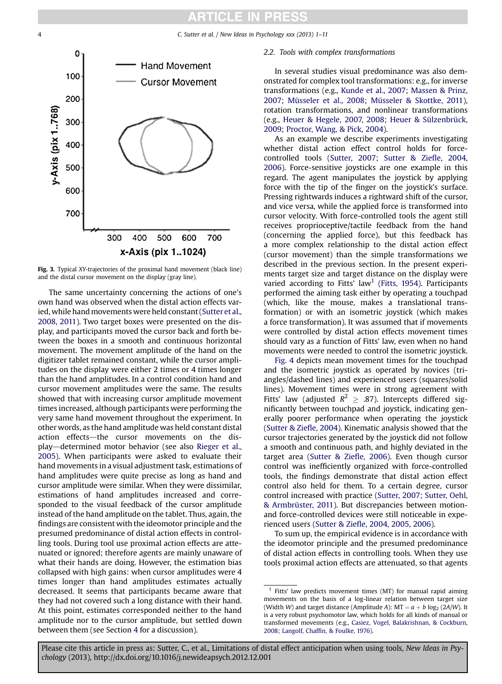4 C. Sutter et al. / New Ideas in Psychology xxx (2013) 1–11

<span id="page-3-0"></span>

Fig. 3. Typical XY-trajectories of the proximal hand movement (black line) and the distal cursor movement on the display (gray line).

The same uncertainty concerning the actions of one's own hand was observed when the distal action effects var-ied, while hand movements were held constant [\(Sutter et al.,](#page-10-0) [2008](#page-10-0), [2011\)](#page-10-0). Two target boxes were presented on the display, and participants moved the cursor back and forth between the boxes in a smooth and continuous horizontal movement. The movement amplitude of the hand on the digitizer tablet remained constant, while the cursor amplitudes on the display were either 2 times or 4 times longer than the hand amplitudes. In a control condition hand and cursor movement amplitudes were the same. The results showed that with increasing cursor amplitude movement times increased, although participants were performing the very same hand movement throughout the experiment. In other words, as the hand amplitude was held constant distal action effects—the cursor movements on the dis-play—determined motor behavior (see also [Rieger et al.,](#page-9-0) [2005](#page-9-0)). When participants were asked to evaluate their hand movements in a visual adjustment task, estimations of hand amplitudes were quite precise as long as hand and cursor amplitude were similar. When they were dissimilar, estimations of hand amplitudes increased and corresponded to the visual feedback of the cursor amplitude instead of the hand amplitude on the tablet. Thus, again, the findings are consistent with the ideomotor principle and the presumed predominance of distal action effects in controlling tools. During tool use proximal action effects are attenuated or ignored; therefore agents are mainly unaware of what their hands are doing. However, the estimation bias collapsed with high gains: when cursor amplitudes were 4 times longer than hand amplitudes estimates actually decreased. It seems that participants became aware that they had not covered such a long distance with their hand. At this point, estimates corresponded neither to the hand amplitude nor to the cursor amplitude, but settled down between them (see Section [4](#page-7-0) for a discussion).

#### 2.2. Tools with complex transformations

In several studies visual predominance was also demonstrated for complex tool transformations: e.g., for inverse transformations (e.g., [Kunde et al., 2007](#page-9-0); [Massen & Prinz,](#page-9-0) [2007](#page-9-0); [Müsseler et al., 2008](#page-9-0); [Müsseler & Skottke, 2011](#page-9-0)), rotation transformations, and nonlinear transformations (e.g., [Heuer & Hegele, 2007,](#page-9-0) [2008;](#page-9-0) [Heuer & Sülzenbrück,](#page-9-0) [2009](#page-9-0); [Proctor, Wang, & Pick, 2004\)](#page-9-0).

As an example we describe experiments investigating whether distal action effect control holds for forcecontrolled tools [\(Sutter, 2007;](#page-10-0) [Sutter & Zie](#page-10-0)fle, 2004, [2006\)](#page-10-0). Force-sensitive joysticks are one example in this regard. The agent manipulates the joystick by applying force with the tip of the finger on the joystick's surface. Pressing rightwards induces a rightward shift of the cursor, and vice versa, while the applied force is transformed into cursor velocity. With force-controlled tools the agent still receives proprioceptive/tactile feedback from the hand (concerning the applied force), but this feedback has a more complex relationship to the distal action effect (cursor movement) than the simple transformations we described in the previous section. In the present experiments target size and target distance on the display were varied according to Fitts' law<sup>1</sup> [\(Fitts, 1954\)](#page-9-0). Participants performed the aiming task either by operating a touchpad (which, like the mouse, makes a translational transformation) or with an isometric joystick (which makes a force transformation). It was assumed that if movements were controlled by distal action effects movement times should vary as a function of Fitts' law, even when no hand movements were needed to control the isometric joystick.

[Fig. 4](#page-4-0) depicts mean movement times for the touchpad and the isometric joystick as operated by novices (triangles/dashed lines) and experienced users (squares/solid lines). Movement times were in strong agreement with Fitts' law (adjusted  $R^2 > .87$ ). Intercepts differed significantly between touchpad and joystick, indicating generally poorer performance when operating the joystick [\(Sutter & Zie](#page-10-0)fle, 2004). Kinematic analysis showed that the cursor trajectories generated by the joystick did not follow a smooth and continuous path, and highly deviated in the target area [\(Sutter & Zie](#page-10-0)fle, 2006). Even though cursor control was inefficiently organized with force-controlled tools, the findings demonstrate that distal action effect control also held for them. To a certain degree, cursor control increased with practice ([Sutter, 2007;](#page-10-0) [Sutter, Oehl,](#page-10-0) [& Armbrüster, 2011\)](#page-10-0). But discrepancies between motionand force-controlled devices were still noticeable in experienced users [\(Sutter & Zie](#page-10-0)fle, 2004, [2005,](#page-10-0) [2006\)](#page-10-0).

To sum up, the empirical evidence is in accordance with the ideomotor principle and the presumed predominance of distal action effects in controlling tools. When they use tools proximal action effects are attenuated, so that agents

 $1$  Fitts' law predicts movement times (MT) for manual rapid aiming movements on the basis of a log-linear relation between target size (Width W) and target distance (Amplitude A):  $MT = a + b \log_2(2A/W)$ . It is a very robust psychomotor law, which holds for all kinds of manual or transformed movements (e.g., [Casiez, Vogel, Balakrishnan, & Cockburn,](#page-9-0) [2008;](#page-9-0) Langolf, Chaffi[n, & Foulke, 1976](#page-9-0)).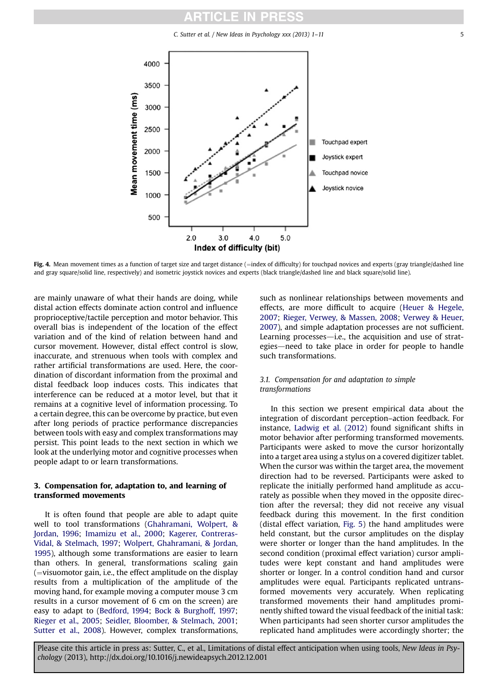C. Sutter et al.  $/$  New Ideas in Psychology xxx  $(2013)$  1–11  $\qquad 5$ 

<span id="page-4-0"></span>

Fig. 4. Mean movement times as a function of target size and target distance (=index of difficulty) for touchpad novices and experts (gray triangle/dashed line and gray square/solid line, respectively) and isometric joystick novices and experts (black triangle/dashed line and black square/solid line).

are mainly unaware of what their hands are doing, while distal action effects dominate action control and influence proprioceptive/tactile perception and motor behavior. This overall bias is independent of the location of the effect variation and of the kind of relation between hand and cursor movement. However, distal effect control is slow, inaccurate, and strenuous when tools with complex and rather artificial transformations are used. Here, the coordination of discordant information from the proximal and distal feedback loop induces costs. This indicates that interference can be reduced at a motor level, but that it remains at a cognitive level of information processing. To a certain degree, this can be overcome by practice, but even after long periods of practice performance discrepancies between tools with easy and complex transformations may persist. This point leads to the next section in which we look at the underlying motor and cognitive processes when people adapt to or learn transformations.

## 3. Compensation for, adaptation to, and learning of transformed movements

It is often found that people are able to adapt quite well to tool transformations [\(Ghahramani, Wolpert, &](#page-9-0) [Jordan, 1996](#page-9-0); [Imamizu et al., 2000](#page-9-0); [Kagerer, Contreras-](#page-9-0)[Vidal, & Stelmach, 1997](#page-9-0); [Wolpert, Ghahramani, & Jordan,](#page-10-0) [1995](#page-10-0)), although some transformations are easier to learn than others. In general, transformations scaling gain  $($ =visuomotor gain, i.e., the effect amplitude on the display results from a multiplication of the amplitude of the moving hand, for example moving a computer mouse 3 cm results in a cursor movement of 6 cm on the screen) are easy to adapt to [\(Bedford, 1994](#page-9-0); [Bock & Burghoff, 1997](#page-9-0); [Rieger et al., 2005](#page-9-0); [Seidler, Bloomber, & Stelmach, 2001](#page-10-0); [Sutter et al., 2008\)](#page-10-0). However, complex transformations,

such as nonlinear relationships between movements and effects, are more difficult to acquire ([Heuer & Hegele,](#page-9-0) [2007](#page-9-0); [Rieger, Verwey, & Massen, 2008](#page-9-0); [Verwey & Heuer,](#page-10-0) [2007](#page-10-0)), and simple adaptation processes are not sufficient. Learning processes-i.e., the acquisition and use of strategies—need to take place in order for people to handle such transformations.

### 3.1. Compensation for and adaptation to simple transformations

In this section we present empirical data about the integration of discordant perception–action feedback. For instance, [Ladwig et al. \(2012\)](#page-9-0) found significant shifts in motor behavior after performing transformed movements. Participants were asked to move the cursor horizontally into a target area using a stylus on a covered digitizer tablet. When the cursor was within the target area, the movement direction had to be reversed. Participants were asked to replicate the initially performed hand amplitude as accurately as possible when they moved in the opposite direction after the reversal; they did not receive any visual feedback during this movement. In the first condition (distal effect variation, [Fig. 5\)](#page-5-0) the hand amplitudes were held constant, but the cursor amplitudes on the display were shorter or longer than the hand amplitudes. In the second condition (proximal effect variation) cursor amplitudes were kept constant and hand amplitudes were shorter or longer. In a control condition hand and cursor amplitudes were equal. Participants replicated untransformed movements very accurately. When replicating transformed movements their hand amplitudes prominently shifted toward the visual feedback of the initial task: When participants had seen shorter cursor amplitudes the replicated hand amplitudes were accordingly shorter; the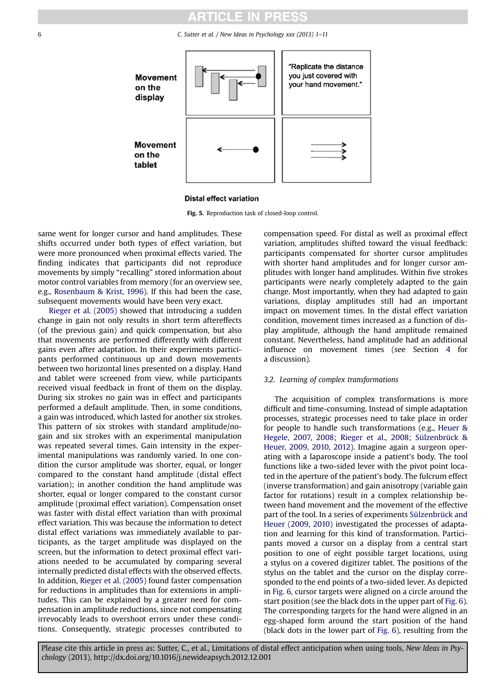# **ARTICLE IN PRESS**

<span id="page-5-0"></span>6 C. Sutter et al. / New Ideas in Psychology xxx (2013) 1–11



#### **Distal effect variation**

Fig. 5. Reproduction task of closed-loop control.

same went for longer cursor and hand amplitudes. These shifts occurred under both types of effect variation, but were more pronounced when proximal effects varied. The finding indicates that participants did not reproduce movements by simply "recalling" stored information about motor control variables from memory (for an overview see, e.g., [Rosenbaum & Krist, 1996\)](#page-9-0). If this had been the case, subsequent movements would have been very exact.

[Rieger et al. \(2005\)](#page-9-0) showed that introducing a sudden change in gain not only results in short term aftereffects (of the previous gain) and quick compensation, but also that movements are performed differently with different gains even after adaptation. In their experiments participants performed continuous up and down movements between two horizontal lines presented on a display. Hand and tablet were screened from view, while participants received visual feedback in front of them on the display. During six strokes no gain was in effect and participants performed a default amplitude. Then, in some conditions, a gain was introduced, which lasted for another six strokes. This pattern of six strokes with standard amplitude/nogain and six strokes with an experimental manipulation was repeated several times. Gain intensity in the experimental manipulations was randomly varied. In one condition the cursor amplitude was shorter, equal, or longer compared to the constant hand amplitude (distal effect variation); in another condition the hand amplitude was shorter, equal or longer compared to the constant cursor amplitude (proximal effect variation). Compensation onset was faster with distal effect variation than with proximal effect variation. This was because the information to detect distal effect variations was immediately available to participants, as the target amplitude was displayed on the screen, but the information to detect proximal effect variations needed to be accumulated by comparing several internally predicted distal effects with the observed effects. In addition, [Rieger et al. \(2005\)](#page-9-0) found faster compensation for reductions in amplitudes than for extensions in amplitudes. This can be explained by a greater need for compensation in amplitude reductions, since not compensating irrevocably leads to overshoot errors under these conditions. Consequently, strategic processes contributed to compensation speed. For distal as well as proximal effect variation, amplitudes shifted toward the visual feedback: participants compensated for shorter cursor amplitudes with shorter hand amplitudes and for longer cursor amplitudes with longer hand amplitudes. Within five strokes participants were nearly completely adapted to the gain change. Most importantly, when they had adapted to gain variations, display amplitudes still had an important impact on movement times. In the distal effect variation condition, movement times increased as a function of display amplitude, although the hand amplitude remained constant. Nevertheless, hand amplitude had an additional influence on movement times (see Section [4](#page-7-0) for a discussion).

#### 3.2. Learning of complex transformations

The acquisition of complex transformations is more difficult and time-consuming. Instead of simple adaptation processes, strategic processes need to take place in order for people to handle such transformations (e.g., [Heuer &](#page-9-0) [Hegele, 2007,](#page-9-0) [2008](#page-9-0); [Rieger et al., 2008;](#page-9-0) [Sülzenbrück &](#page-10-0) [Heuer, 2009](#page-10-0), [2010,](#page-10-0) [2012](#page-10-0)). Imagine again a surgeon operating with a laparoscope inside a patient's body. The tool functions like a two-sided lever with the pivot point located in the aperture of the patient's body. The fulcrum effect (inverse transformation) and gain anisotropy (variable gain factor for rotations) result in a complex relationship between hand movement and the movement of the effective part of the tool. In a series of experiments [Sülzenbrück and](#page-10-0) [Heuer \(2009,](#page-10-0) [2010\)](#page-10-0) investigated the processes of adaptation and learning for this kind of transformation. Participants moved a cursor on a display from a central start position to one of eight possible target locations, using a stylus on a covered digitizer tablet. The positions of the stylus on the tablet and the cursor on the display corresponded to the end points of a two-sided lever. As depicted in [Fig. 6,](#page-6-0) cursor targets were aligned on a circle around the start position (see the black dots in the upper part of [Fig. 6](#page-6-0)). The corresponding targets for the hand were aligned in an egg-shaped form around the start position of the hand (black dots in the lower part of [Fig. 6\)](#page-6-0), resulting from the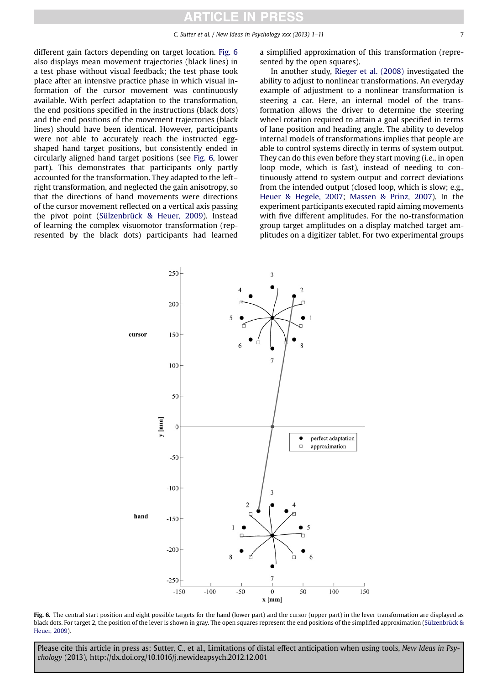<span id="page-6-0"></span>different gain factors depending on target location. Fig. 6 also displays mean movement trajectories (black lines) in a test phase without visual feedback; the test phase took place after an intensive practice phase in which visual information of the cursor movement was continuously available. With perfect adaptation to the transformation, the end positions specified in the instructions (black dots) and the end positions of the movement trajectories (black lines) should have been identical. However, participants were not able to accurately reach the instructed eggshaped hand target positions, but consistently ended in circularly aligned hand target positions (see Fig. 6, lower part). This demonstrates that participants only partly accounted for the transformation. They adapted to the left– right transformation, and neglected the gain anisotropy, so that the directions of hand movements were directions of the cursor movement reflected on a vertical axis passing the pivot point ([Sülzenbrück & Heuer, 2009](#page-10-0)). Instead of learning the complex visuomotor transformation (represented by the black dots) participants had learned a simplified approximation of this transformation (represented by the open squares).

In another study, [Rieger et al. \(2008\)](#page-9-0) investigated the ability to adjust to nonlinear transformations. An everyday example of adjustment to a nonlinear transformation is steering a car. Here, an internal model of the transformation allows the driver to determine the steering wheel rotation required to attain a goal specified in terms of lane position and heading angle. The ability to develop internal models of transformations implies that people are able to control systems directly in terms of system output. They can do this even before they start moving (i.e., in open loop mode, which is fast), instead of needing to continuously attend to system output and correct deviations from the intended output (closed loop, which is slow; e.g., [Heuer & Hegele, 2007;](#page-9-0) [Massen & Prinz, 2007\)](#page-9-0). In the experiment participants executed rapid aiming movements with five different amplitudes. For the no-transformation group target amplitudes on a display matched target amplitudes on a digitizer tablet. For two experimental groups



Fig. 6. The central start position and eight possible targets for the hand (lower part) and the cursor (upper part) in the lever transformation are displayed as black dots. For target 2, the position of the lever is shown in gray. The open squares represent the end positions of the simplified approximation ([Sülzenbrück &](#page-10-0) [Heuer, 2009](#page-10-0)).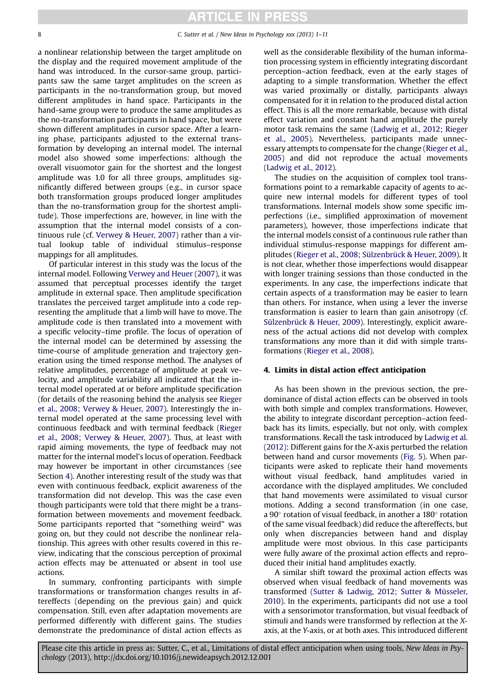<span id="page-7-0"></span>a nonlinear relationship between the target amplitude on the display and the required movement amplitude of the hand was introduced. In the cursor-same group, participants saw the same target amplitudes on the screen as participants in the no-transformation group, but moved different amplitudes in hand space. Participants in the hand-same group were to produce the same amplitudes as the no-transformation participants in hand space, but were shown different amplitudes in cursor space. After a learning phase, participants adjusted to the external transformation by developing an internal model. The internal model also showed some imperfections: although the overall visuomotor gain for the shortest and the longest amplitude was 1.0 for all three groups, amplitudes significantly differed between groups (e.g., in cursor space both transformation groups produced longer amplitudes than the no-transformation group for the shortest amplitude). Those imperfections are, however, in line with the assumption that the internal model consists of a continuous rule (cf. [Verwey & Heuer, 2007\)](#page-10-0) rather than a virtual lookup table of individual stimulus–response mappings for all amplitudes.

Of particular interest in this study was the locus of the internal model. Following [Verwey and Heuer \(2007\)](#page-10-0), it was assumed that perceptual processes identify the target amplitude in external space. Then amplitude specification translates the perceived target amplitude into a code representing the amplitude that a limb will have to move. The amplitude code is then translated into a movement with a specific velocity–time profile. The locus of operation of the internal model can be determined by assessing the time-course of amplitude generation and trajectory generation using the timed response method. The analyses of relative amplitudes, percentage of amplitude at peak velocity, and amplitude variability all indicated that the internal model operated at or before amplitude specification (for details of the reasoning behind the analysis see [Rieger](#page-9-0) [et al., 2008](#page-9-0); [Verwey & Heuer, 2007](#page-10-0)). Interestingly the internal model operated at the same processing level with continuous feedback and with terminal feedback [\(Rieger](#page-9-0) [et al., 2008](#page-9-0); [Verwey & Heuer, 2007\)](#page-10-0). Thus, at least with rapid aiming movements, the type of feedback may not matter for the internal model's locus of operation. Feedback may however be important in other circumstances (see Section 4). Another interesting result of the study was that even with continuous feedback, explicit awareness of the transformation did not develop. This was the case even though participants were told that there might be a transformation between movements and movement feedback. Some participants reported that "something weird" was going on, but they could not describe the nonlinear relationship. This agrees with other results covered in this review, indicating that the conscious perception of proximal action effects may be attenuated or absent in tool use actions.

In summary, confronting participants with simple transformations or transformation changes results in aftereffects (depending on the previous gain) and quick compensation. Still, even after adaptation movements are performed differently with different gains. The studies demonstrate the predominance of distal action effects as well as the considerable flexibility of the human information processing system in efficiently integrating discordant perception–action feedback, even at the early stages of adapting to a simple transformation. Whether the effect was varied proximally or distally, participants always compensated for it in relation to the produced distal action effect. This is all the more remarkable, because with distal effect variation and constant hand amplitude the purely motor task remains the same [\(Ladwig et al., 2012;](#page-9-0) [Rieger](#page-9-0) [et al., 2005](#page-9-0)). Nevertheless, participants made unnecessary attempts to compensate for the change [\(Rieger et al.,](#page-9-0) [2005\)](#page-9-0) and did not reproduce the actual movements [\(Ladwig et al., 2012](#page-9-0)).

The studies on the acquisition of complex tool transformations point to a remarkable capacity of agents to acquire new internal models for different types of tool transformations. Internal models show some specific imperfections (i.e., simplified approximation of movement parameters), however, those imperfections indicate that the internal models consist of a continuous rule rather than individual stimulus-response mappings for different amplitudes ([Rieger et al., 2008](#page-9-0); [Sülzenbrück & Heuer, 2009\)](#page-10-0). It is not clear, whether those imperfections would disappear with longer training sessions than those conducted in the experiments. In any case, the imperfections indicate that certain aspects of a transformation may be easier to learn than others. For instance, when using a lever the inverse transformation is easier to learn than gain anisotropy (cf. [Sülzenbrück & Heuer, 2009\)](#page-10-0). Interestingly, explicit awareness of the actual actions did not develop with complex transformations any more than it did with simple transformations ([Rieger et al., 2008](#page-9-0)).

#### 4. Limits in distal action effect anticipation

As has been shown in the previous section, the predominance of distal action effects can be observed in tools with both simple and complex transformations. However, the ability to integrate discordant perception–action feedback has its limits, especially, but not only, with complex transformations. Recall the task introduced by [Ladwig et al.](#page-9-0) [\(2012\):](#page-9-0) Different gains for the X-axis perturbed the relation between hand and cursor movements ([Fig. 5](#page-5-0)). When participants were asked to replicate their hand movements without visual feedback, hand amplitudes varied in accordance with the displayed amplitudes. We concluded that hand movements were assimilated to visual cursor motions. Adding a second transformation (in one case, a 90 $^{\circ}$  rotation of visual feedback, in another a 180 $^{\circ}$  rotation of the same visual feedback) did reduce the aftereffects, but only when discrepancies between hand and display amplitude were most obvious. In this case participants were fully aware of the proximal action effects and reproduced their initial hand amplitudes exactly.

A similar shift toward the proximal action effects was observed when visual feedback of hand movements was transformed ([Sutter & Ladwig, 2012](#page-10-0); [Sutter & Müsseler,](#page-10-0) [2010](#page-10-0)). In the experiments, participants did not use a tool with a sensorimotor transformation, but visual feedback of stimuli and hands were transformed by reflection at the Xaxis, at the Y-axis, or at both axes. This introduced different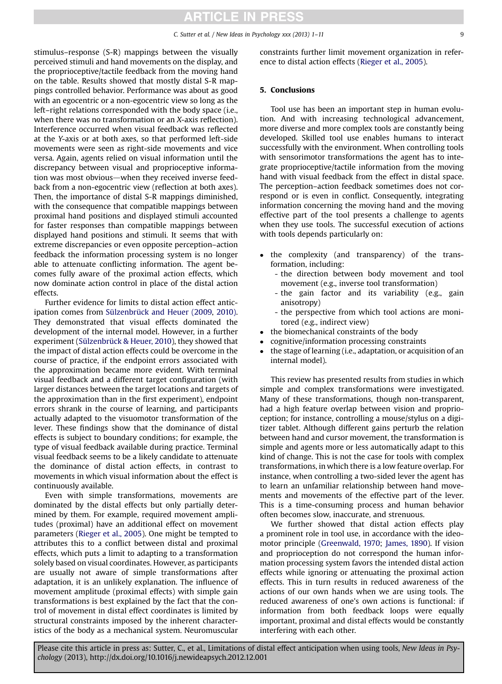stimulus–response (S-R) mappings between the visually perceived stimuli and hand movements on the display, and the proprioceptive/tactile feedback from the moving hand on the table. Results showed that mostly distal S-R mappings controlled behavior. Performance was about as good with an egocentric or a non-egocentric view so long as the left–right relations corresponded with the body space (i.e., when there was no transformation or an X-axis reflection). Interference occurred when visual feedback was reflected at the Y-axis or at both axes, so that performed left-side movements were seen as right-side movements and vice versa. Again, agents relied on visual information until the discrepancy between visual and proprioceptive information was most obvious—when they received inverse feedback from a non-egocentric view (reflection at both axes). Then, the importance of distal S-R mappings diminished, with the consequence that compatible mappings between proximal hand positions and displayed stimuli accounted for faster responses than compatible mappings between displayed hand positions and stimuli. It seems that with extreme discrepancies or even opposite perception–action feedback the information processing system is no longer able to attenuate conflicting information. The agent becomes fully aware of the proximal action effects, which now dominate action control in place of the distal action effects.

Further evidence for limits to distal action effect anticipation comes from [Sülzenbrück and Heuer \(2009,](#page-10-0) [2010\)](#page-10-0). They demonstrated that visual effects dominated the development of the internal model. However, in a further experiment [\(Sülzenbrück & Heuer, 2010](#page-10-0)), they showed that the impact of distal action effects could be overcome in the course of practice, if the endpoint errors associated with the approximation became more evident. With terminal visual feedback and a different target configuration (with larger distances between the target locations and targets of the approximation than in the first experiment), endpoint errors shrank in the course of learning, and participants actually adapted to the visuomotor transformation of the lever. These findings show that the dominance of distal effects is subject to boundary conditions; for example, the type of visual feedback available during practice. Terminal visual feedback seems to be a likely candidate to attenuate the dominance of distal action effects, in contrast to movements in which visual information about the effect is continuously available.

Even with simple transformations, movements are dominated by the distal effects but only partially determined by them. For example, required movement amplitudes (proximal) have an additional effect on movement parameters [\(Rieger et al., 2005\)](#page-9-0). One might be tempted to attributes this to a conflict between distal and proximal effects, which puts a limit to adapting to a transformation solely based on visual coordinates. However, as participants are usually not aware of simple transformations after adaptation, it is an unlikely explanation. The influence of movement amplitude (proximal effects) with simple gain transformations is best explained by the fact that the control of movement in distal effect coordinates is limited by structural constraints imposed by the inherent characteristics of the body as a mechanical system. Neuromuscular

constraints further limit movement organization in reference to distal action effects ([Rieger et al., 2005\)](#page-9-0).

#### 5. Conclusions

Tool use has been an important step in human evolution. And with increasing technological advancement, more diverse and more complex tools are constantly being developed. Skilled tool use enables humans to interact successfully with the environment. When controlling tools with sensorimotor transformations the agent has to integrate proprioceptive/tactile information from the moving hand with visual feedback from the effect in distal space. The perception–action feedback sometimes does not correspond or is even in conflict. Consequently, integrating information concerning the moving hand and the moving effective part of the tool presents a challenge to agents when they use tools. The successful execution of actions with tools depends particularly on:

- the complexity (and transparency) of the transformation, including:
	- the direction between body movement and tool movement (e.g., inverse tool transformation)
	- the gain factor and its variability (e.g., gain anisotropy)
	- the perspective from which tool actions are monitored (e.g., indirect view)
- $\bullet$  the biomechanical constraints of the body<br> $\bullet$  cognitive/information processing constrain
- cognitive/information processing constraints
- the stage of learning (i.e., adaptation, or acquisition of an internal model).

This review has presented results from studies in which simple and complex transformations were investigated. Many of these transformations, though non-transparent, had a high feature overlap between vision and proprioception; for instance, controlling a mouse/stylus on a digitizer tablet. Although different gains perturb the relation between hand and cursor movement, the transformation is simple and agents more or less automatically adapt to this kind of change. This is not the case for tools with complex transformations, in which there is a low feature overlap. For instance, when controlling a two-sided lever the agent has to learn an unfamiliar relationship between hand movements and movements of the effective part of the lever. This is a time-consuming process and human behavior often becomes slow, inaccurate, and strenuous.

We further showed that distal action effects play a prominent role in tool use, in accordance with the ideomotor principle [\(Greenwald, 1970](#page-9-0); [James, 1890\)](#page-9-0). If vision and proprioception do not correspond the human information processing system favors the intended distal action effects while ignoring or attenuating the proximal action effects. This in turn results in reduced awareness of the actions of our own hands when we are using tools. The reduced awareness of one's own actions is functional: if information from both feedback loops were equally important, proximal and distal effects would be constantly interfering with each other.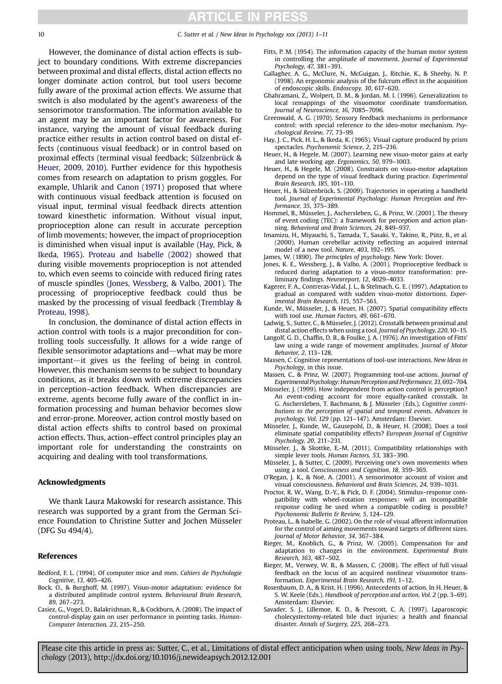<span id="page-9-0"></span>10 C. Sutter et al. / New Ideas in Psychology xxx (2013) 1–11

However, the dominance of distal action effects is subject to boundary conditions. With extreme discrepancies between proximal and distal effects, distal action effects no longer dominate action control, but tool users become fully aware of the proximal action effects. We assume that switch is also modulated by the agent's awareness of the sensorimotor transformation. The information available to an agent may be an important factor for awareness. For instance, varying the amount of visual feedback during practice either results in action control based on distal effects (continuous visual feedback) or in control based on proximal effects (terminal visual feedback; [Sülzenbrück &](#page-10-0) [Heuer, 2009](#page-10-0), [2010](#page-10-0)). Further evidence for this hypothesis comes from research on adaptation to prism goggles. For example, [Uhlarik and Canon \(1971\)](#page-10-0) proposed that where with continuous visual feedback attention is focused on visual input, terminal visual feedback directs attention toward kinesthetic information. Without visual input, proprioception alone can result in accurate perception of limb movements; however, the impact of proprioception is diminished when visual input is available (Hay, Pick, & Ikeda, 1965). Proteau and Isabelle (2002) showed that during visible movements proprioception is not attended to, which even seems to coincide with reduced firing rates of muscle spindles (Jones, Wessberg, & Valbo, 2001). The processing of proprioceptive feedback could thus be masked by the processing of visual feedback [\(Tremblay &](#page-10-0) [Proteau, 1998](#page-10-0)).

In conclusion, the dominance of distal action effects in action control with tools is a major precondition for controlling tools successfully. It allows for a wide range of flexible sensorimotor adaptations and—what may be more  $im$  important—it gives us the feeling of being in control. However, this mechanism seems to be subject to boundary conditions, as it breaks down with extreme discrepancies in perception–action feedback. When discrepancies are extreme, agents become fully aware of the conflict in information processing and human behavior becomes slow and error-prone. Moreover, action control mostly based on distal action effects shifts to control based on proximal action effects. Thus, action–effect control principles play an important role for understanding the constraints on acquiring and dealing with tool transformations.

# Acknowledgments

We thank Laura Makowski for research assistance. This research was supported by a grant from the German Science Foundation to Christine Sutter and Jochen Müsseler (DFG Su 494/4).

# References

- Bedford, F. L. (1994). Of computer mice and men. Cahiers de Psychologie Cognitive, 13, 405–426.
- Bock, O., & Burghoff, M. (1997). Visuo-motor adaptation: evidence for a distributed amplitude control system. Behavioural Brain Research, 89, 267–273.
- Casiez, G., Vogel, D., Balakrishnan, R., & Cockburn, A. (2008). The impact of control-display gain on user performance in pointing tasks. Human-Computer Interaction, 23, 215–250.
- Fitts, P. M. (1954). The information capacity of the human motor system in controlling the amplitude of movement. Journal of Experimental Psychology, 47, 381–391.
- Gallagher, A. G., McClure, N., McGuigan, J., Ritchie, K., & Sheehy, N. P. (1998). An ergonomic analysis of the fulcrum effect in the acquisition of endoscopic skills. Endoscopy, 30, 617–620.
- Ghahramani, Z., Wolpert, D. M., & Jordan, M. I. (1996). Generalization to local remappings of the visuomotor coordinate transformation. Journal of Neuroscience, 16, 7085–7096.
- Greenwald, A. G. (1970). Sensory feedback mechanisms in performance control: with special reference to the ideo-motor mechanism. Psychological Review, 77, 73–99.
- Hay, J. C., Pick, H. L., & Ikeda, K. (1965). Visual capture produced by prism spectacles. Psychonomic Science, 2, 215–216.
- Heuer, H., & Hegele, M. (2007). Learning new visuo-motor gains at early and late working age. Ergonomics, 50, 979–1003.
- Heuer, H., & Hegele, M. (2008). Constraints on visuo-motor adaptation depend on the type of visual feedback during practice. Experimental Brain Research, 185, 101–110.
- Heuer, H., & Sülzenbrück, S. (2009). Trajectories in operating a handheld tool. Journal of Experimental Psychology: Human Perception and Performance, 35, 375–389.
- Hommel, B., Müsseler, J., Aschersleben, G., & Prinz, W. (2001). The theory of event coding (TEC): a framework for perception and action planning. Behavioral and Brain Sciences, 24, 849–937.
- Imamizu, H., Miyauchi, S., Tamada, T., Sasaki, Y., Takino, R., Pütz, B., et al. (2000). Human cerebellar activity reflecting an acquired internal model of a new tool. Nature, 403, 192–195.
- James, W. (1890). The principles of psychology. New York: Dover.
- Jones, K. E., Wessberg, J., & Valbo, A. (2001). Proprioceptive feedback is reduced during adaptation to a visuo-motor transformation: preliminary findings. Neuroreport, 12, 4029–4033.
- Kagerer, F. A., Contreras-Vidal, J. L., & Stelmach, G. E. (1997). Adaptation to gradual as compared with sudden visuo-motor distortions. Experimental Brain Research, 115, 557–561.
- Kunde, W., Müsseler, J., & Heuer, H. (2007). Spatial compatibility effects with tool use. Human Factors, 49, 661–670.
- Ladwig, S., Sutter, C., & Müsseler, J. (2012). Crosstalk between proximal and distal action effects when using a tool. Journal of Psychology, 220,10–15.
- Langolf, G. D., Chaffin, D. B., & Foulke, J. A. (1976). An investigation of Fitts' law using a wide range of movement amplitudes. Journal of Motor Behavior, 2, 113–128.
- Massen, C. Cognitive representations of tool-use interactions. New Ideas in Psychology, in this issue.
- Massen, C., & Prinz, W. (2007). Programming tool-use actions. Journal of Experimental Psychology: Human Perception and Performance, 33, 692–704.
- Müsseler, J. (1999). How independent from action control is perception? An event-coding account for more equally-ranked crosstalk. In G. Aschersleben, T. Bachmann, & J. Müsseler (Eds.), Cognitive contributions to the perception of spatial and temporal events. Advances in psychology, Vol. 129 (pp. 121–147). Amsterdam: Elsevier.
- Müsseler, J., Kunde, W., Gausepohl, D., & Heuer, H. (2008). Does a tool eliminate spatial compatibility effects? European Journal of Cognitive Psychology, 20, 211–231.
- Müsseler, J., & Skottke, E.-M. (2011). Compatibility relationships with simple lever tools. Human Factors, 53, 383–390.
- Müsseler, J., & Sutter, C. (2009). Perceiving one's own movements when using a tool. Consciousness and Cognition, 18, 359–365.
- O'Regan, J. K., & Noë, A. (2001). A sensorimotor account of vision and visual consciousness. Behavioral and Brain Sciences, 24, 939–1031.
- Proctor, R. W., Wang, D.-Y., & Pick, D. F. (2004). Stimulus–response compatibility with wheel-rotation responses: will an incompatible response coding be used when a compatible coding is possible? Psychonomic Bulletin & Review, 5, 124–129.
- Proteau, L., & Isabelle, G. (2002). On the role of visual afferent information for the control of aiming movements toward targets of different sizes. Journal of Motor Behavior, 34, 367–384.
- Rieger, M., Knoblich, G., & Prinz, W. (2005). Compensation for and adaptation to changes in the environment. Experimental Brain Research, 163, 487–502.
- Rieger, M., Verwey, W. B., & Massen, C. (2008). The effect of full visual feedback on the locus of an acquired nonlinear visuomotor transformation. Experimental Brain Research, 191, 1–12.
- Rosenbaum, D. A., & Krist, H. (1996). Antecedents of action. In H. Heuer, & S. W. Keele (Eds.). Handbook of perception and action, Vol. 2 (pp. 3–69). Amsterdam: Elsevier.
- Savader, S. J., Lillemoe, K. D., & Prescott, C. A. (1997). Laparoscopic cholecystectomy-related bile duct injuries: a health and financial disaster. Annals of Surgery, 225, 268–273.